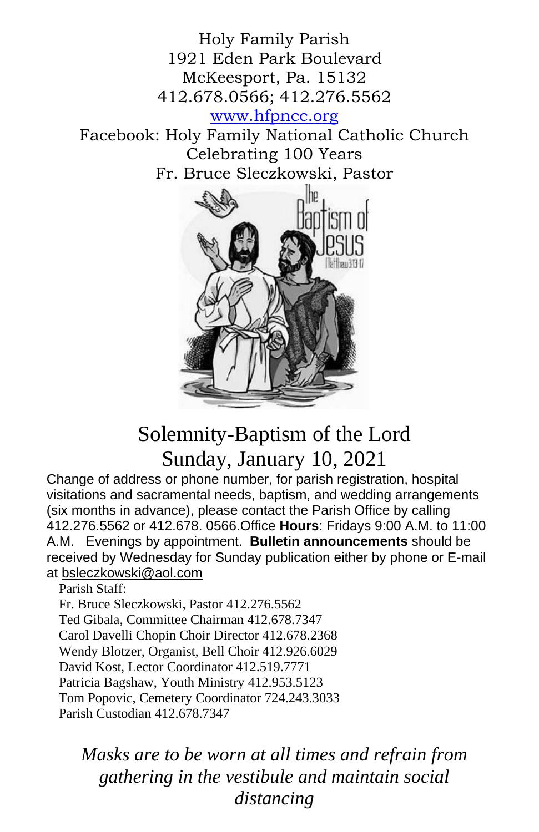Holy Family Parish 1921 Eden Park Boulevard McKeesport, Pa. 15132 412.678.0566; 412.276.5562 [www.hfpncc.org](http://www.hfpncc.org/) Facebook: Holy Family National Catholic Church Celebrating 100 Years Fr. Bruce Sleczkowski, Pastor



# Solemnity-Baptism of the Lord Sunday, January 10, 2021

Change of address or phone number, for parish registration, hospital visitations and sacramental needs, baptism, and wedding arrangements (six months in advance), please contact the Parish Office by calling 412.276.5562 or 412.678. 0566.Office **Hours**: Fridays 9:00 A.M. to 11:00 A.M. Evenings by appointment. **Bulletin announcements** should be received by Wednesday for Sunday publication either by phone or E-mail at [bsleczkowski@aol.com](mailto:bsleczkowski@aol.com)

Parish Staff:

Fr. Bruce Sleczkowski, Pastor 412.276.5562 Ted Gibala, Committee Chairman 412.678.7347 Carol Davelli Chopin Choir Director 412.678.2368 Wendy Blotzer, Organist, Bell Choir 412.926.6029 David Kost, Lector Coordinator 412.519.7771 Patricia Bagshaw, Youth Ministry 412.953.5123 Tom Popovic, Cemetery Coordinator 724.243.3033 Parish Custodian 412.678.7347

*Masks are to be worn at all times and refrain from gathering in the vestibule and maintain social distancing*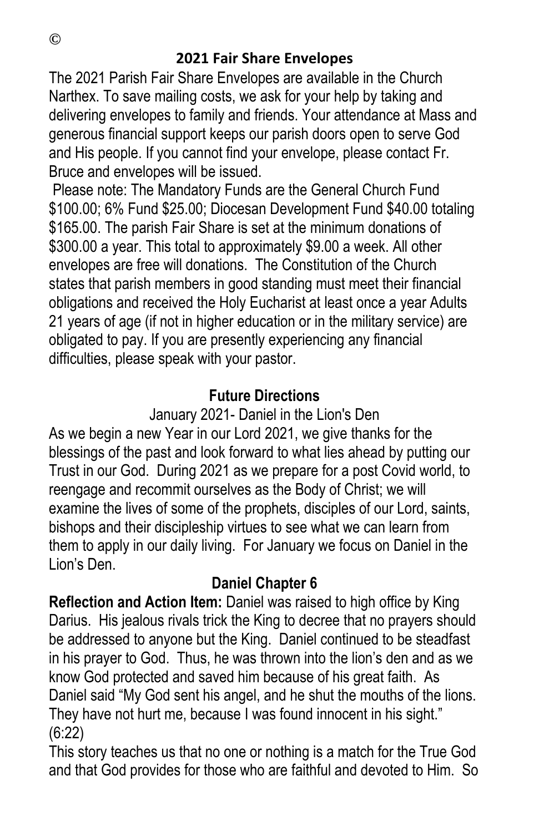#### **2021 Fair Share Envelopes**

The 2021 Parish Fair Share Envelopes are available in the Church Narthex. To save mailing costs, we ask for your help by taking and delivering envelopes to family and friends. Your attendance at Mass and generous financial support keeps our parish doors open to serve God and His people. If you cannot find your envelope, please contact Fr. Bruce and envelopes will be issued.

Please note: The Mandatory Funds are the General Church Fund \$100.00; 6% Fund \$25.00; Diocesan Development Fund \$40.00 totaling \$165.00. The parish Fair Share is set at the minimum donations of \$300.00 a year. This total to approximately \$9.00 a week. All other envelopes are free will donations. The Constitution of the Church states that parish members in good standing must meet their financial obligations and received the Holy Eucharist at least once a year Adults 21 years of age (if not in higher education or in the military service) are obligated to pay. If you are presently experiencing any financial difficulties, please speak with your pastor.

### **Future Directions**

January 2021- Daniel in the Lion's Den

As we begin a new Year in our Lord 2021, we give thanks for the blessings of the past and look forward to what lies ahead by putting our Trust in our God. During 2021 as we prepare for a post Covid world, to reengage and recommit ourselves as the Body of Christ; we will examine the lives of some of the prophets, disciples of our Lord, saints, bishops and their discipleship virtues to see what we can learn from them to apply in our daily living. For January we focus on Daniel in the Lion's Den.

## **Daniel Chapter 6**

**Reflection and Action Item:** Daniel was raised to high office by King Darius. His jealous rivals trick the King to decree that no prayers should be addressed to anyone but the King. Daniel continued to be steadfast in his prayer to God. Thus, he was thrown into the lion's den and as we know God protected and saved him because of his great faith. As Daniel said "My God sent his angel, and he shut the mouths of the lions. They have not hurt me, because I was found innocent in his sight." (6:22)

This story teaches us that no one or nothing is a match for the True God and that God provides for those who are faithful and devoted to Him. So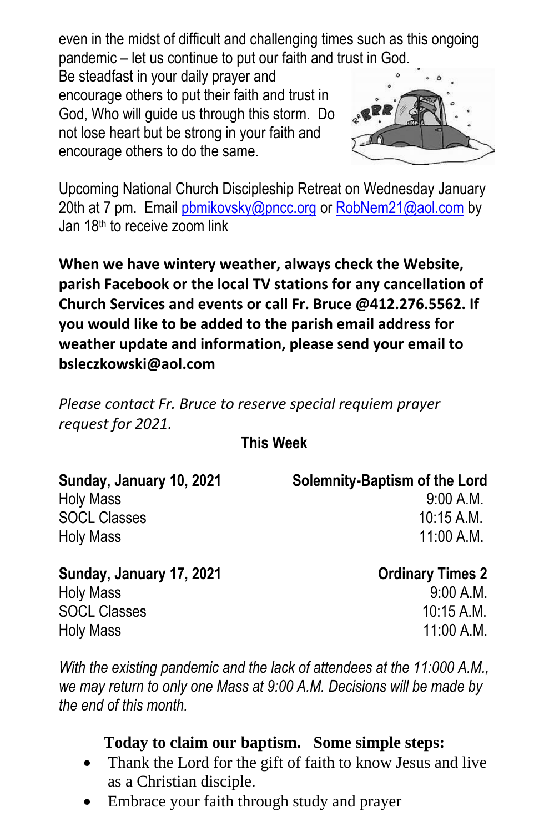even in the midst of difficult and challenging times such as this ongoing pandemic – let us continue to put our faith and trust in God.

Be steadfast in your daily prayer and encourage others to put their faith and trust in God, Who will guide us through this storm. Do not lose heart but be strong in your faith and encourage others to do the same.



Upcoming National Church Discipleship Retreat on Wednesday January 20th at 7 pm. Email [pbmikovsky@pncc.org](mailto:pbmikovsky@pncc.org) or [RobNem21@aol.com](mailto:RobNem21@aol.com) by Jan 18<sup>th</sup> to receive zoom link

**When we have wintery weather, always check the Website, parish Facebook or the local TV stations for any cancellation of Church Services and events or call Fr. Bruce @412.276.5562. If you would like to be added to the parish email address for weather update and information, please send your email to bsleczkowski@aol.com**

*Please contact Fr. Bruce to reserve special requiem prayer request for 2021.*

**This Week** 

| Sunday, January 10, 2021 | <b>Solemnity-Baptism of the Lord</b> |
|--------------------------|--------------------------------------|
| <b>Holy Mass</b>         | 9:00 A.M.                            |
| <b>SOCL Classes</b>      | 10:15 A.M.                           |
| <b>Holy Mass</b>         | $11:00$ A.M.                         |
|                          |                                      |

| Sunday, January 17, 2021 |
|--------------------------|
| <b>Holy Mass</b>         |
| <b>SOCL Classes</b>      |
| <b>Holy Mass</b>         |

**Ordinary Times 2**  $9:00 A.M.$  $10:15 A.M.$  $11:00 \text{ A} \text{ M}$ 

*With the existing pandemic and the lack of attendees at the 11:000 A.M., we may return to only one Mass at 9:00 A.M. Decisions will be made by the end of this month.*

## **Today to claim our baptism. Some simple steps:**

- Thank the Lord for the gift of faith to know Jesus and live as a Christian disciple.
- Embrace your faith through study and prayer